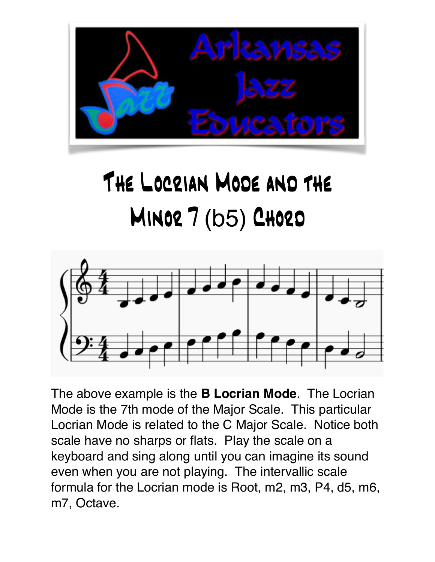

## The Locrian Mode and the **MINOR 7 (b5) CHORD**



The above example is the **B Locrian Mode**. The Locrian Mode is the 7th mode of the Major Scale. This particular Locrian Mode is related to the C Major Scale. Notice both scale have no sharps or flats. Play the scale on a keyboard and sing along until you can imagine its sound even when you are not playing. The intervallic scale formula for the Locrian mode is Root, m2, m3, P4, d5, m6, m7, Octave.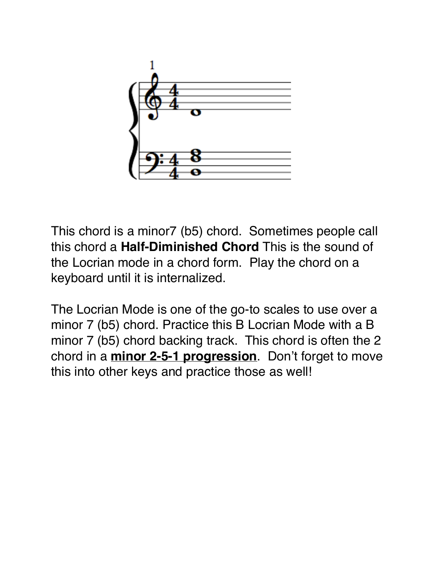

This chord is a minor7 (b5) chord. Sometimes people call this chord a **Half-Diminished Chord** This is the sound of the Locrian mode in a chord form. Play the chord on a keyboard until it is internalized.

The Locrian Mode is one of the go-to scales to use over a minor 7 (b5) chord. Practice this B Locrian Mode with a B minor 7 (b5) chord backing track. This chord is often the 2 chord in a **minor 2-5-1 progression**. Don't forget to move this into other keys and practice those as well!